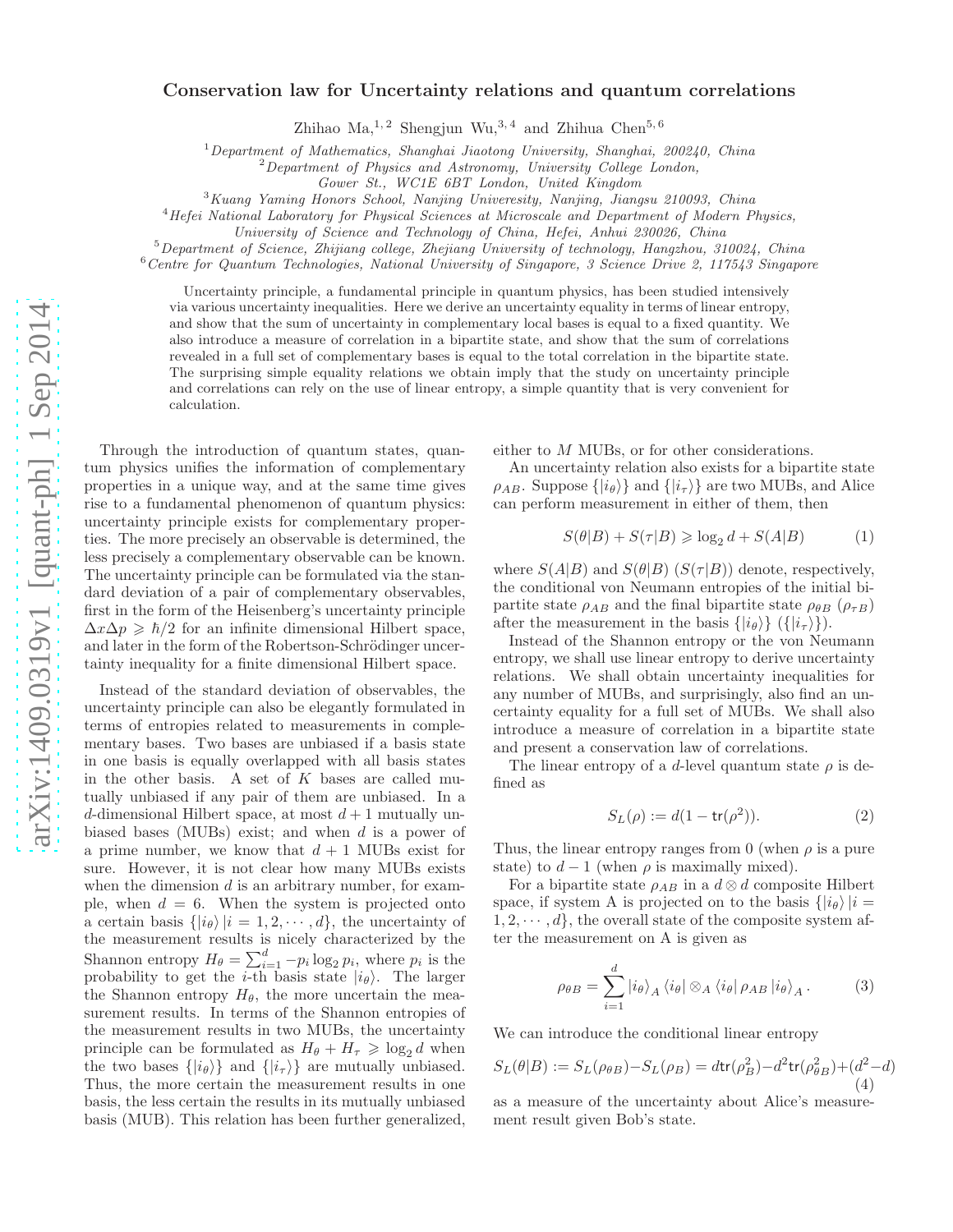## Conservation law for Uncertainty relations and quantum correlations

Zhihao Ma,  $^{1,2}$  Shengjun Wu,  $^{3,4}$  and Zhihua Chen<sup>5, 6</sup>

<sup>1</sup>Department of Mathematics, Shanghai Jiaotong University, Shanghai, 200240, China

 ${}^{2}$ Department of Physics and Astronomy, University College London,

Gower St., WC1E 6BT London, United Kingdom

<sup>3</sup>Kuang Yaming Honors School, Nanjing Univeresity, Nanjing, Jiangsu 210093, China

<sup>4</sup>Hefei National Laboratory for Physical Sciences at Microscale and Department of Modern Physics,

University of Science and Technology of China, Hefei, Anhui 230026, China

<sup>5</sup>Department of Science, Zhijiang college, Zhejiang University of technology, Hangzhou, 310024, China

<sup>6</sup>Centre for Quantum Technologies, National University of Singapore, 3 Science Drive 2, 117543 Singapore

Uncertainty principle, a fundamental principle in quantum physics, has been studied intensively via various uncertainty inequalities. Here we derive an uncertainty equality in terms of linear entropy, and show that the sum of uncertainty in complementary local bases is equal to a fixed quantity. We also introduce a measure of correlation in a bipartite state, and show that the sum of correlations revealed in a full set of complementary bases is equal to the total correlation in the bipartite state. The surprising simple equality relations we obtain imply that the study on uncertainty principle and correlations can rely on the use of linear entropy, a simple quantity that is very convenient for calculation.

Through the introduction of quantum states, quantum physics unifies the information of complementary properties in a unique way, and at the same time gives rise to a fundamental phenomenon of quantum physics: uncertainty principle exists for complementary properties. The more precisely an observable is determined, the less precisely a complementary observable can be known. The uncertainty principle can be formulated via the standard deviation of a pair of complementary observables, first in the form of the Heisenberg's uncertainty principle  $\Delta x \Delta p \geq \hbar/2$  for an infinite dimensional Hilbert space, and later in the form of the Robertson-Schrödinger uncertainty inequality for a finite dimensional Hilbert space.

Instead of the standard deviation of observables, the uncertainty principle can also be elegantly formulated in terms of entropies related to measurements in complementary bases. Two bases are unbiased if a basis state in one basis is equally overlapped with all basis states in the other basis. A set of  $K$  bases are called mutually unbiased if any pair of them are unbiased. In a d-dimensional Hilbert space, at most  $d+1$  mutually unbiased bases (MUBs) exist; and when d is a power of a prime number, we know that  $d + 1$  MUBs exist for sure. However, it is not clear how many MUBs exists when the dimension  $d$  is an arbitrary number, for example, when  $d = 6$ . When the system is projected onto a certain basis  $\{|i_{\theta}\rangle |i = 1, 2, \dots, d\}$ , the uncertainty of the measurement results is nicely characterized by the Shannon entropy  $H_{\theta} = \sum_{i=1}^{d} -p_i \log_2 p_i$ , where  $p_i$  is the probability to get the *i*-th basis state  $|i_{\theta}\rangle$ . The larger the Shannon entropy  $H_{\theta}$ , the more uncertain the measurement results. In terms of the Shannon entropies of the measurement results in two MUBs, the uncertainty principle can be formulated as  $H_{\theta} + H_{\tau} \geqslant \log_2 d$  when the two bases  $\{|i_{\theta}\rangle\}$  and  $\{|i_{\tau}\rangle\}$  are mutually unbiased. Thus, the more certain the measurement results in one basis, the less certain the results in its mutually unbiased basis (MUB). This relation has been further generalized, either to M MUBs, or for other considerations.

An uncertainty relation also exists for a bipartite state  $\rho_{AB}$ . Suppose  $\{|i_{\theta}\rangle\}$  and  $\{|i_{\tau}\rangle\}$  are two MUBs, and Alice can perform measurement in either of them, then

 $S(\theta|B) + S(\tau|B) \geqslant \log_2 d + S(A|B)$  (1)

where  $S(A|B)$  and  $S(\theta|B)$   $(S(\tau|B))$  denote, respectively, the conditional von Neumann entropies of the initial bipartite state  $\rho_{AB}$  and the final bipartite state  $\rho_{\theta B}$  ( $\rho_{\tau B}$ ) after the measurement in the basis  $\{|i_{\theta}\rangle\}$  ( $\{|i_{\tau}\rangle\}$ ).

Instead of the Shannon entropy or the von Neumann entropy, we shall use linear entropy to derive uncertainty relations. We shall obtain uncertainty inequalities for any number of MUBs, and surprisingly, also find an uncertainty equality for a full set of MUBs. We shall also introduce a measure of correlation in a bipartite state and present a conservation law of correlations.

The linear entropy of a d-level quantum state  $\rho$  is defined as

$$
S_L(\rho) := d(1 - \operatorname{tr}(\rho^2)).\tag{2}
$$

Thus, the linear entropy ranges from 0 (when  $\rho$  is a pure state) to  $d-1$  (when  $\rho$  is maximally mixed).

For a bipartite state  $\rho_{AB}$  in a  $d \otimes d$  composite Hilbert space, if system A is projected on to the basis  $\{|i_{\theta}\rangle|i=$  $1, 2, \dots, d$ , the overall state of the composite system after the measurement on A is given as

<span id="page-0-0"></span>
$$
\rho_{\theta B} = \sum_{i=1}^{d} |i_{\theta}\rangle_{A} \langle i_{\theta} | \otimes_{A} \langle i_{\theta} | \rho_{AB} | i_{\theta}\rangle_{A}.
$$
 (3)

We can introduce the conditional linear entropy

$$
S_L(\theta|B) := S_L(\rho_{\theta B}) - S_L(\rho_B) = d \text{tr}(\rho_B^2) - d^2 \text{tr}(\rho_{\theta B}^2) + (d^2 - d)
$$
\n(4)

as a measure of the uncertainty about Alice's measurement result given Bob's state.